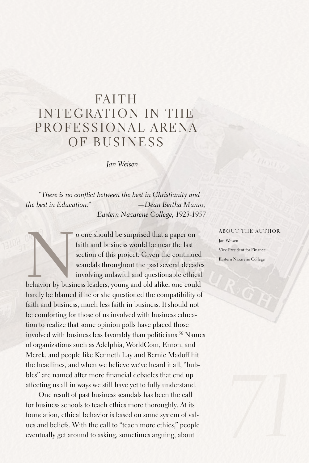## FAITH INTEGRATION IN THE PROFESSIONAL ARENA OF BUSINESS

*Jan Weisen*

*"There is no conflict between the best in Christianity and the best in Education." —Dean Bertha Munro, Eastern Nazarene College, 1923-1957*

o one should be surprised that a paper on faith and business would be near the last section of this project. Given the continued scandals throughout the past several decade involving unlawful and questionable ethical behav faith and business would be near the last section of this project. Given the continued scandals throughout the past several decades involving unlawful and questionable ethical

hardly be blamed if he or she questioned the compatibility of faith and business, much less faith in business. It should not be comforting for those of us involved with business education to realize that some opinion polls have placed those involved with business less favorably than politicians. 56 Names of organizations such as Adelphia, WorldCom, Enron, and Merck, and people like Kenneth Lay and Bernie Madoff hit the headlines, and when we believe we've heard it all, "bubbles" are named after more financial debacles that end up affecting us all in ways we still have yet to fully understand.

One result of past business scandals has been the call for business schools to teach ethics more thoroughly.At its foundation, ethical behavior is based on some system of values and beliefs. With the call to "teach more ethics," people eventually get around to asking, sometimes arguing, about

## About the author:

Jan Weisen Vice President for Finance Eastern Nazarene College

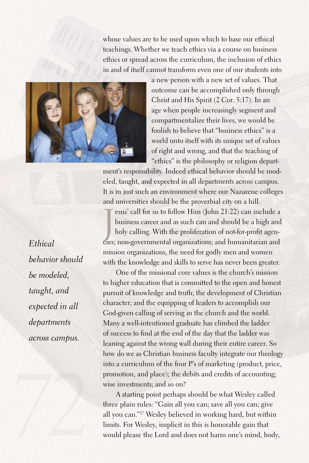whose values are to be used upon which to base our ethical teachings. Whether we teach ethics via a course on business ethics or spread across the curriculum, the inclusion of ethics in and of itself cannot transform even one of our students into



a new person with a new set of values. That outcome can be accomplished only through Christ and His Spirit (2 Cor. 5:17). In an age when people increasingly segment and compartmentalize their lives, we would be foolish to believe that "business ethics" is a world unto itself with its unique set of values of right and wrong, and that the teaching of "ethics" is the philosophy or religion depart-

ment's responsibility. Indeed ethical behavior should be modeled, taught, and expected in all departments across campus. It is in just such an environment where our Nazarene colleges and universities should be the proverbial city on a hill.

Tesus' call for us to follow Him (John 21:22) can include a business career and as such can and should be a high and holy calling. With the proliferation of not-for-profit agencies; non-governmental organizations; and huma esus' call for us to follow Him (John 21:22) can include a business career and as such can and should be a high and holy calling. With the proliferation of not-for-profit agenmission organizations, the need for godly men and women with the knowledge and skills to serve has never been greater.

One of the missional core values is the church's mission to higher education that is committed to the open and honest pursuit of knowledge and truth; the development of Christian character; and the equipping of leaders to accomplish our God-given calling of serving in the church and the world. Many a well-intentioned graduate has climbed the ladder of success to find at the end of the day that the ladder was leaning against the wrong wall during their entire career. So how do we as Christian business faculty integrate our theology into a curriculum of the four P's of marketing (product, price, promotion, and place); the debits and credits of accounting; wise investments; and so on?

A starting point perhaps should be what Wesley called three plain rules: "Gain all you can; save all you can; give all you can."57 Wesley believed in working hard, but within limits.For Wesley, implicit in this is honorable gain that would please the Lord and does not harm one's mind, body,

*Ethical behavior should be modeled, taught, and expected in all departments across campus.*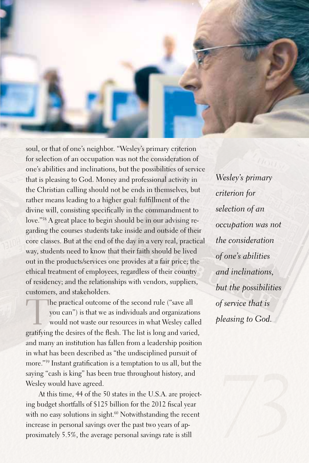

soul, or that of one's neighbor. "Wesley's primary criterion for selection of an occupation was not the consideration of one's abilities and inclinations, but the possibilities of service that is pleasing to God. Money and professional activity in the Christian calling should not be ends in themselves, but rather means leading to a higher goal: fulfillment of the divine will, consisting specifically in the commandment to love."58 A great place to begin should be in our advising regarding the courses students take inside and outside of their core classes.But at the end of the day in a very real, practical way, students need to know that their faith should be lived out in the products/services one provides at a fair price; the ethical treatment of employees, regardless of their country of residency; and the relationships with vendors, suppliers, customers, and stakeholders.

The practical outcome of the second rule ("save all<br>you can") is that we as individuals and organization<br>would not waste our resources in what Wesley call<br>gratifying the desires of the flesh. The list is long and union you can") is that we as individuals and organizations would not waste our resources in what Wesley called gratifying the desires of the flesh. The list is long and varied, and many an institution has fallen from a leadership position in what has been described as "the undisciplined pursuit of more."59 Instant gratification is a temptation to us all, but the saying "cash is king" has been true throughout history, and Wesley would have agreed.

At this time, 44 of the 50 states in the U.S.A. are projecting budget shortfalls of \$125 billion for the 2012 fiscal year with no easy solutions in sight.<sup>60</sup> Notwithstanding the recent increase in personal savings over the past two years of approximately 5.5%, the average personal savings rate is still

*Wesley's primary criterion for selection of an occupation was not the consideration of one's abilities and inclinations, but the possibilities of service that is pleasing to God.*

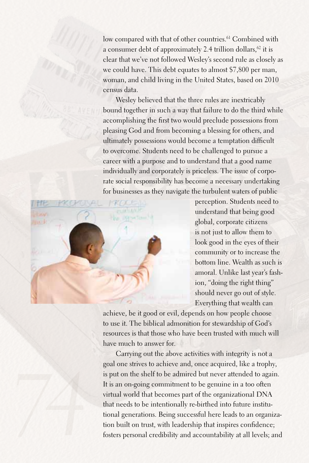low compared with that of other countries. 61 Combined with a consumer debt of approximately 2.4 trillion dollars, $62$  it is clear that we've not followed Wesley's second rule as closely as we could have. This debt equates to almost \$7,800 per man, woman, and child living in the United States, based on 2010 census data.

Wesley believed that the three rules are inextricably bound together in such a way that failure to do the third while accomplishing the first two would preclude possessions from pleasing God and from becoming a blessing for others, and ultimately possessions would become a temptation difficult to overcome. Students need to be challenged to pursue a career with a purpose and to understand that a good name individually and corporately is priceless. The issue of corporate social responsibility has become a necessary undertaking for businesses as they navigate the turbulent waters of public



perception. Students need to understand that being good global, corporate citizens is not just to allow them to look good in the eyes of their community or to increase the bottom line. Wealth as such is amoral. Unlike last year's fashion, "doing the right thing" should never go out of style. Everything that wealth can

achieve, be it good or evil, depends on how people choose to use it. The biblical admonition for stewardship of God's resources is that those who have been trusted with much will have much to answer for.

Carrying out the above activities with integrity is not a goal one strives to achieve and, once acquired, like a trophy, is put on the shelf to be admired but never attended to again. It is an on-going commitment to be genuine in a too often virtual world that becomes part of the organizational DNA that needs to be intentionally re-birthed into future institutional generations.Being successful here leads to an organization built on trust, with leadership that inspires confidence; fosters personal credibility and accountability at all levels; and